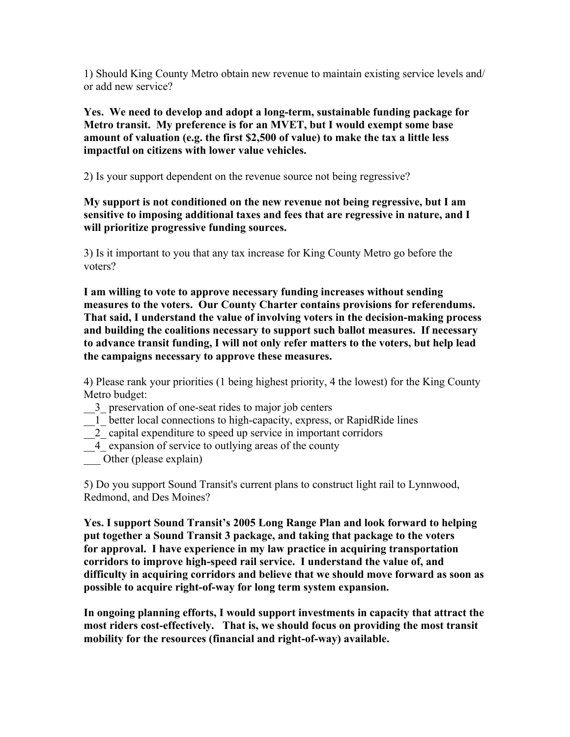1) Should King County Metro obtain new revenue to maintain existing service levels and/ or add new service?

**Yes. We need to develop and adopt a long-term, sustainable funding package for Metro transit. My preference is for an MVET, but I would exempt some base amount of valuation (e.g. the first \$2,500 of value) to make the tax a little less impactful on citizens with lower value vehicles.** 

2) Is your support dependent on the revenue source not being regressive?

**My support is not conditioned on the new revenue not being regressive, but I am sensitive to imposing additional taxes and fees that are regressive in nature, and I will prioritize progressive funding sources.**

3) Is it important to you that any tax increase for King County Metro go before the voters?

**I am willing to vote to approve necessary funding increases without sending measures to the voters. Our County Charter contains provisions for referendums. That said, I understand the value of involving voters in the decision-making process and building the coalitions necessary to support such ballot measures. If necessary to advance transit funding, I will not only refer matters to the voters, but help lead the campaigns necessary to approve these measures.**

4) Please rank your priorities (1 being highest priority, 4 the lowest) for the King County Metro budget:

- \_\_3\_ preservation of one-seat rides to major job centers
- \_\_1\_ better local connections to high-capacity, express, or RapidRide lines
- \_\_2\_ capital expenditure to speed up service in important corridors
- \_\_4\_ expansion of service to outlying areas of the county
- Other (please explain)

5) Do you support Sound Transit's current plans to construct light rail to Lynnwood, Redmond, and Des Moines?

**Yes. I support Sound Transit's 2005 Long Range Plan and look forward to helping put together a Sound Transit 3 package, and taking that package to the voters for approval. I have experience in my law practice in acquiring transportation corridors to improve high-speed rail service. I understand the value of, and difficulty in acquiring corridors and believe that we should move forward as soon as possible to acquire right-of-way for long term system expansion.**

**In ongoing planning efforts, I would support investments in capacity that attract the most riders cost-effectively. That is, we should focus on providing the most transit mobility for the resources (financial and right-of-way) available.**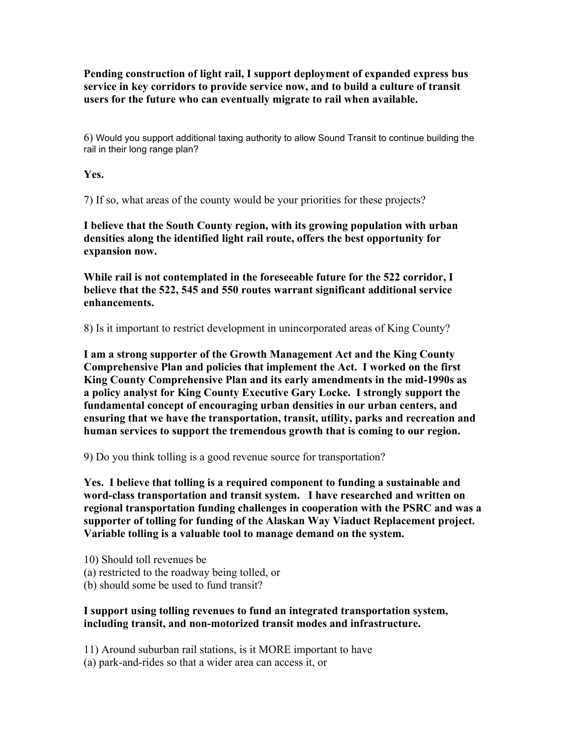**Pending construction of light rail, I support deployment of expanded express bus service in key corridors to provide service now, and to build a culture of transit users for the future who can eventually migrate to rail when available.** 

6) Would you support additional taxing authority to allow Sound Transit to continue building the rail in their long range plan?

**Yes.**

7) If so, what areas of the county would be your priorities for these projects?

**I believe that the South County region, with its growing population with urban densities along the identified light rail route, offers the best opportunity for expansion now.** 

**While rail is not contemplated in the foreseeable future for the 522 corridor, I believe that the 522, 545 and 550 routes warrant significant additional service enhancements.**

8) Is it important to restrict development in unincorporated areas of King County?

**I am a strong supporter of the Growth Management Act and the King County Comprehensive Plan and policies that implement the Act. I worked on the first King County Comprehensive Plan and its early amendments in the mid-1990s as a policy analyst for King County Executive Gary Locke. I strongly support the fundamental concept of encouraging urban densities in our urban centers, and ensuring that we have the transportation, transit, utility, parks and recreation and human services to support the tremendous growth that is coming to our region.** 

9) Do you think tolling is a good revenue source for transportation?

**Yes. I believe that tolling is a required component to funding a sustainable and word-class transportation and transit system. I have researched and written on regional transportation funding challenges in cooperation with the PSRC and was a supporter of tolling for funding of the Alaskan Way Viaduct Replacement project. Variable tolling is a valuable tool to manage demand on the system.**

10) Should toll revenues be (a) restricted to the roadway being tolled, or (b) should some be used to fund transit?

## **I support using tolling revenues to fund an integrated transportation system, including transit, and non-motorized transit modes and infrastructure.**

11) Around suburban rail stations, is it MORE important to have

(a) park-and-rides so that a wider area can access it, or